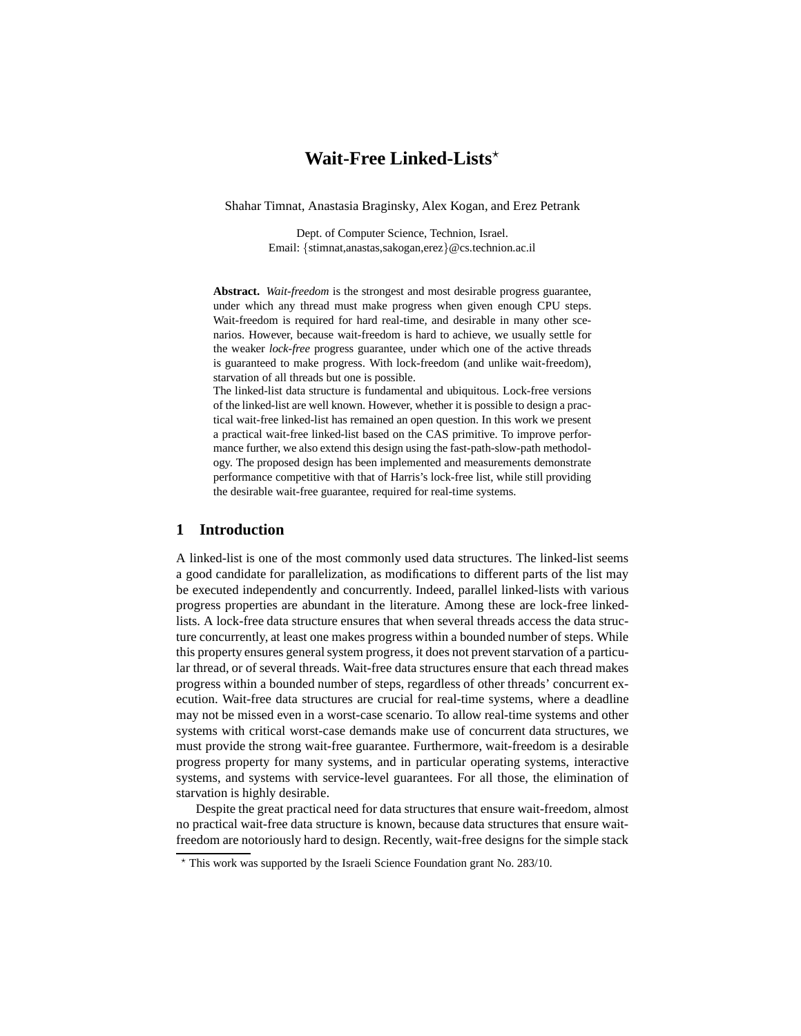# Wait-Free Linked-Lists<sup>\*</sup>

Shahar Timnat, Anastasia Braginsky, Alex Kogan, and Erez Petrank

Dept. of Computer Science, Technion, Israel. Email: {stimnat,anastas,sakogan,erez}@cs.technion.ac.il

**Abstract.** *Wait-freedom* is the strongest and most desirable progress guarantee, under which any thread must make progress when given enough CPU steps. Wait-freedom is required for hard real-time, and desirable in many other scenarios. However, because wait-freedom is hard to achieve, we usually settle for the weaker *lock-free* progress guarantee, under which one of the active threads is guaranteed to make progress. With lock-freedom (and unlike wait-freedom), starvation of all threads but one is possible.

The linked-list data structure is fundamental and ubiquitous. Lock-free versions of the linked-list are well known. However, whether it is possible to design a practical wait-free linked-list has remained an open question. In this work we present a practical wait-free linked-list based on the CAS primitive. To improve performance further, we also extend this design using the fast-path-slow-path methodology. The proposed design has been implemented and measurements demonstrate performance competitive with that of Harris's lock-free list, while still providing the desirable wait-free guarantee, required for real-time systems.

# **1 Introduction**

A linked-list is one of the most commonly used data structures. The linked-list seems a good candidate for parallelization, as modifications to different parts of the list may be executed independently and concurrently. Indeed, parallel linked-lists with various progress properties are abundant in the literature. Among these are lock-free linkedlists. A lock-free data structure ensures that when several threads access the data structure concurrently, at least one makes progress within a bounded number of steps. While this property ensures general system progress, it does not prevent starvation of a particular thread, or of several threads. Wait-free data structures ensure that each thread makes progress within a bounded number of steps, regardless of other threads' concurrent execution. Wait-free data structures are crucial for real-time systems, where a deadline may not be missed even in a worst-case scenario. To allow real-time systems and other systems with critical worst-case demands make use of concurrent data structures, we must provide the strong wait-free guarantee. Furthermore, wait-freedom is a desirable progress property for many systems, and in particular operating systems, interactive systems, and systems with service-level guarantees. For all those, the elimination of starvation is highly desirable.

Despite the great practical need for data structures that ensure wait-freedom, almost no practical wait-free data structure is known, because data structures that ensure waitfreedom are notoriously hard to design. Recently, wait-free designs for the simple stack

 $*$  This work was supported by the Israeli Science Foundation grant No. 283/10.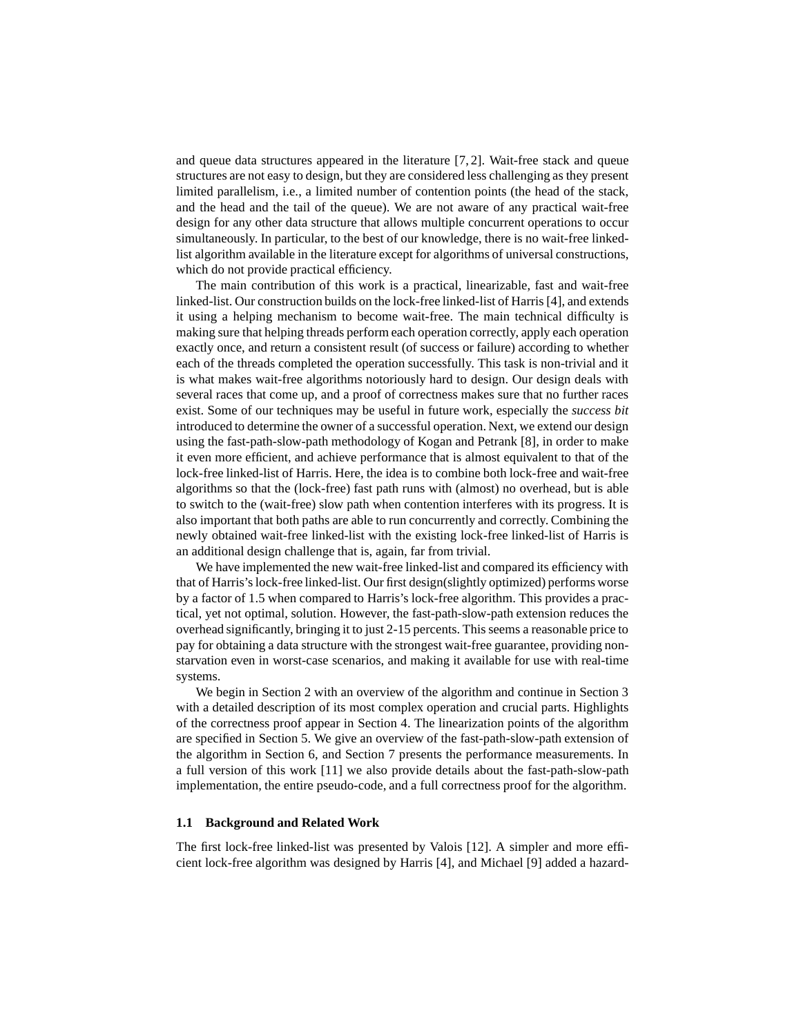and queue data structures appeared in the literature [7, 2]. Wait-free stack and queue structures are not easy to design, but they are considered less challenging as they present limited parallelism, i.e., a limited number of contention points (the head of the stack, and the head and the tail of the queue). We are not aware of any practical wait-free design for any other data structure that allows multiple concurrent operations to occur simultaneously. In particular, to the best of our knowledge, there is no wait-free linkedlist algorithm available in the literature except for algorithms of universal constructions, which do not provide practical efficiency.

The main contribution of this work is a practical, linearizable, fast and wait-free linked-list. Our construction builds on the lock-free linked-list of Harris [4], and extends it using a helping mechanism to become wait-free. The main technical difficulty is making sure that helping threads perform each operation correctly, apply each operation exactly once, and return a consistent result (of success or failure) according to whether each of the threads completed the operation successfully. This task is non-trivial and it is what makes wait-free algorithms notoriously hard to design. Our design deals with several races that come up, and a proof of correctness makes sure that no further races exist. Some of our techniques may be useful in future work, especially the *success bit* introduced to determine the owner of a successful operation. Next, we extend our design using the fast-path-slow-path methodology of Kogan and Petrank [8], in order to make it even more efficient, and achieve performance that is almost equivalent to that of the lock-free linked-list of Harris. Here, the idea is to combine both lock-free and wait-free algorithms so that the (lock-free) fast path runs with (almost) no overhead, but is able to switch to the (wait-free) slow path when contention interferes with its progress. It is also important that both paths are able to run concurrently and correctly. Combining the newly obtained wait-free linked-list with the existing lock-free linked-list of Harris is an additional design challenge that is, again, far from trivial.

We have implemented the new wait-free linked-list and compared its efficiency with that of Harris's lock-free linked-list. Our first design(slightly optimized) performs worse by a factor of 1.5 when compared to Harris's lock-free algorithm. This provides a practical, yet not optimal, solution. However, the fast-path-slow-path extension reduces the overhead significantly, bringing it to just 2-15 percents. This seems a reasonable price to pay for obtaining a data structure with the strongest wait-free guarantee, providing nonstarvation even in worst-case scenarios, and making it available for use with real-time systems.

We begin in Section 2 with an overview of the algorithm and continue in Section 3 with a detailed description of its most complex operation and crucial parts. Highlights of the correctness proof appear in Section 4. The linearization points of the algorithm are specified in Section 5. We give an overview of the fast-path-slow-path extension of the algorithm in Section 6, and Section 7 presents the performance measurements. In a full version of this work [11] we also provide details about the fast-path-slow-path implementation, the entire pseudo-code, and a full correctness proof for the algorithm.

#### **1.1 Background and Related Work**

The first lock-free linked-list was presented by Valois [12]. A simpler and more efficient lock-free algorithm was designed by Harris [4], and Michael [9] added a hazard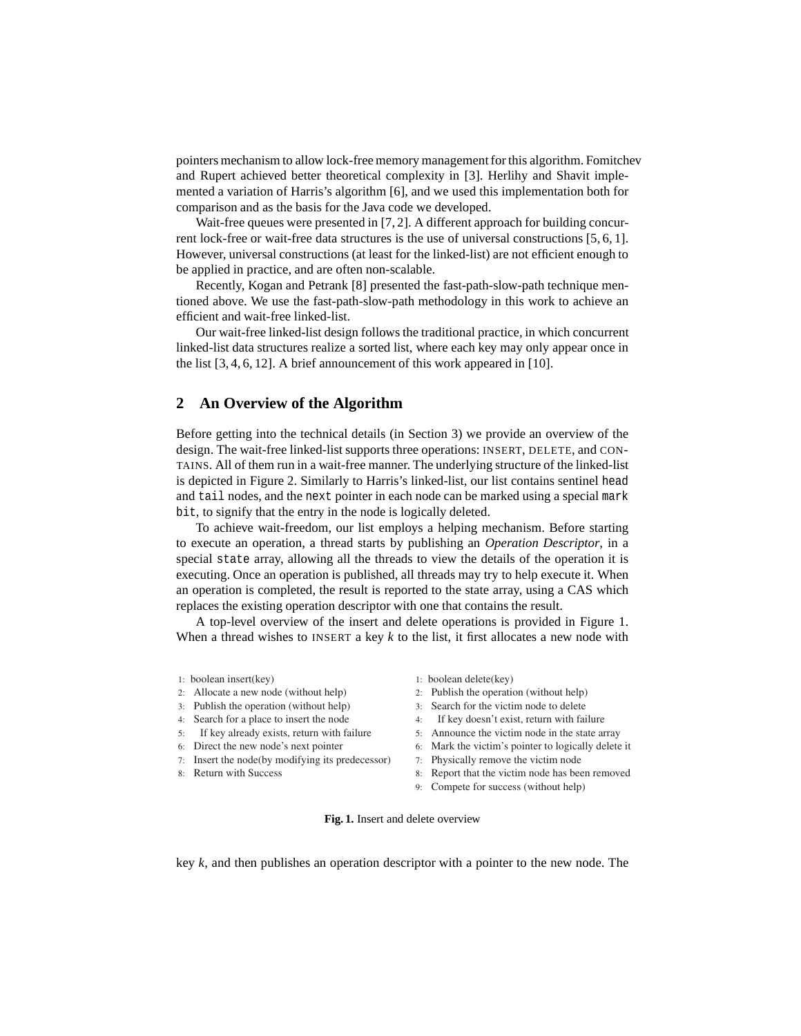pointers mechanism to allow lock-free memory management for this algorithm. Fomitchev and Rupert achieved better theoretical complexity in [3]. Herlihy and Shavit implemented a variation of Harris's algorithm [6], and we used this implementation both for comparison and as the basis for the Java code we developed.

Wait-free queues were presented in [7, 2]. A different approach for building concurrent lock-free or wait-free data structures is the use of universal constructions [5, 6, 1]. However, universal constructions (at least for the linked-list) are not efficient enough to be applied in practice, and are often non-scalable.

Recently, Kogan and Petrank [8] presented the fast-path-slow-path technique mentioned above. We use the fast-path-slow-path methodology in this work to achieve an efficient and wait-free linked-list.

Our wait-free linked-list design follows the traditional practice, in which concurrent linked-list data structures realize a sorted list, where each key may only appear once in the list [3, 4, 6, 12]. A brief announcement of this work appeared in [10].

# **2 An Overview of the Algorithm**

Before getting into the technical details (in Section 3) we provide an overview of the design. The wait-free linked-list supports three operations: INSERT, DELETE, and CON-TAINS. All of them run in a wait-free manner. The underlying structure of the linked-list is depicted in Figure 2. Similarly to Harris's linked-list, our list contains sentinel head and tail nodes, and the next pointer in each node can be marked using a special mark bit, to signify that the entry in the node is logically deleted.

To achieve wait-freedom, our list employs a helping mechanism. Before starting to execute an operation, a thread starts by publishing an *Operation Descriptor*, in a special state array, allowing all the threads to view the details of the operation it is executing. Once an operation is published, all threads may try to help execute it. When an operation is completed, the result is reported to the state array, using a CAS which replaces the existing operation descriptor with one that contains the result.

A top-level overview of the insert and delete operations is provided in Figure 1. When a thread wishes to INSERT a key k to the list, it first allocates a new node with

- 1: boolean insert(key)
- 2: Allocate a new node (without help)
- 3: Publish the operation (without help)
- 4: Search for a place to insert the node
- 5: If key already exists, return with failure
- 6: Direct the new node's next pointer
- 7: Insert the node(by modifying its predecessor)
- 8: Return with Success
- 1: boolean delete(key)
- 2: Publish the operation (without help)
- 3: Search for the victim node to delete
- 4: If key doesn't exist, return with failure
- 5: Announce the victim node in the state array
- 6: Mark the victim's pointer to logically delete it
- 7: Physically remove the victim node
- 8: Report that the victim node has been removed
- 9: Compete for success (without help)

**Fig. 1.** Insert and delete overview

key *k*, and then publishes an operation descriptor with a pointer to the new node. The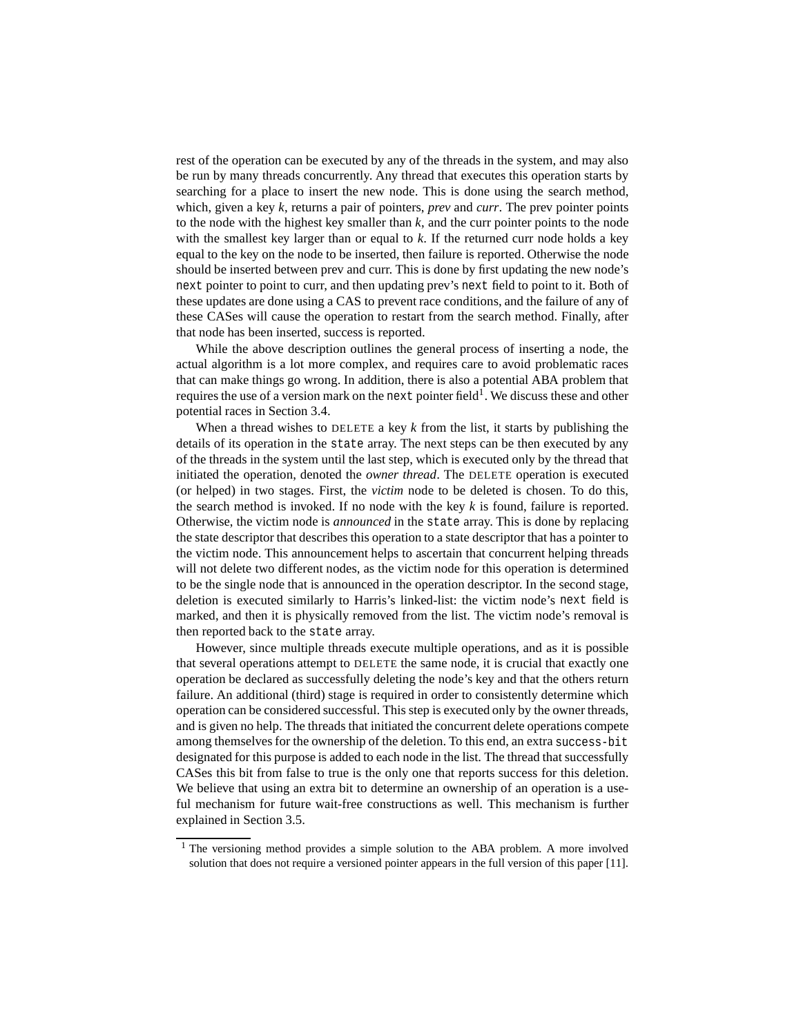rest of the operation can be executed by any of the threads in the system, and may also be run by many threads concurrently. Any thread that executes this operation starts by searching for a place to insert the new node. This is done using the search method, which, given a key *k*, returns a pair of pointers, *prev* and *curr*. The prev pointer points to the node with the highest key smaller than  $k$ , and the curr pointer points to the node with the smallest key larger than or equal to  $k$ . If the returned curr node holds a key equal to the key on the node to be inserted, then failure is reported. Otherwise the node should be inserted between prev and curr. This is done by first updating the new node's next pointer to point to curr, and then updating prev's next field to point to it. Both of these updates are done using a CAS to prevent race conditions, and the failure of any of these CASes will cause the operation to restart from the search method. Finally, after that node has been inserted, success is reported.

While the above description outlines the general process of inserting a node, the actual algorithm is a lot more complex, and requires care to avoid problematic races that can make things go wrong. In addition, there is also a potential ABA problem that requires the use of a version mark on the next pointer field<sup>1</sup>. We discuss these and other potential races in Section 3.4.

When a thread wishes to DELETE a key *k* from the list, it starts by publishing the details of its operation in the state array. The next steps can be then executed by any of the threads in the system until the last step, which is executed only by the thread that initiated the operation, denoted the *owner thread*. The DELETE operation is executed (or helped) in two stages. First, the *victim* node to be deleted is chosen. To do this, the search method is invoked. If no node with the key *k* is found, failure is reported. Otherwise, the victim node is *announced* in the state array. This is done by replacing the state descriptor that describes this operation to a state descriptor that has a pointer to the victim node. This announcement helps to ascertain that concurrent helping threads will not delete two different nodes, as the victim node for this operation is determined to be the single node that is announced in the operation descriptor. In the second stage, deletion is executed similarly to Harris's linked-list: the victim node's next field is marked, and then it is physically removed from the list. The victim node's removal is then reported back to the state array.

However, since multiple threads execute multiple operations, and as it is possible that several operations attempt to DELETE the same node, it is crucial that exactly one operation be declared as successfully deleting the node's key and that the others return failure. An additional (third) stage is required in order to consistently determine which operation can be considered successful. This step is executed only by the owner threads, and is given no help. The threads that initiated the concurrent delete operations compete among themselves for the ownership of the deletion. To this end, an extra success-bit designated for this purpose is added to each node in the list. The thread that successfully CASes this bit from false to true is the only one that reports success for this deletion. We believe that using an extra bit to determine an ownership of an operation is a useful mechanism for future wait-free constructions as well. This mechanism is further explained in Section 3.5.

<sup>&</sup>lt;sup>1</sup> The versioning method provides a simple solution to the ABA problem. A more involved solution that does not require a versioned pointer appears in the full version of this paper [11].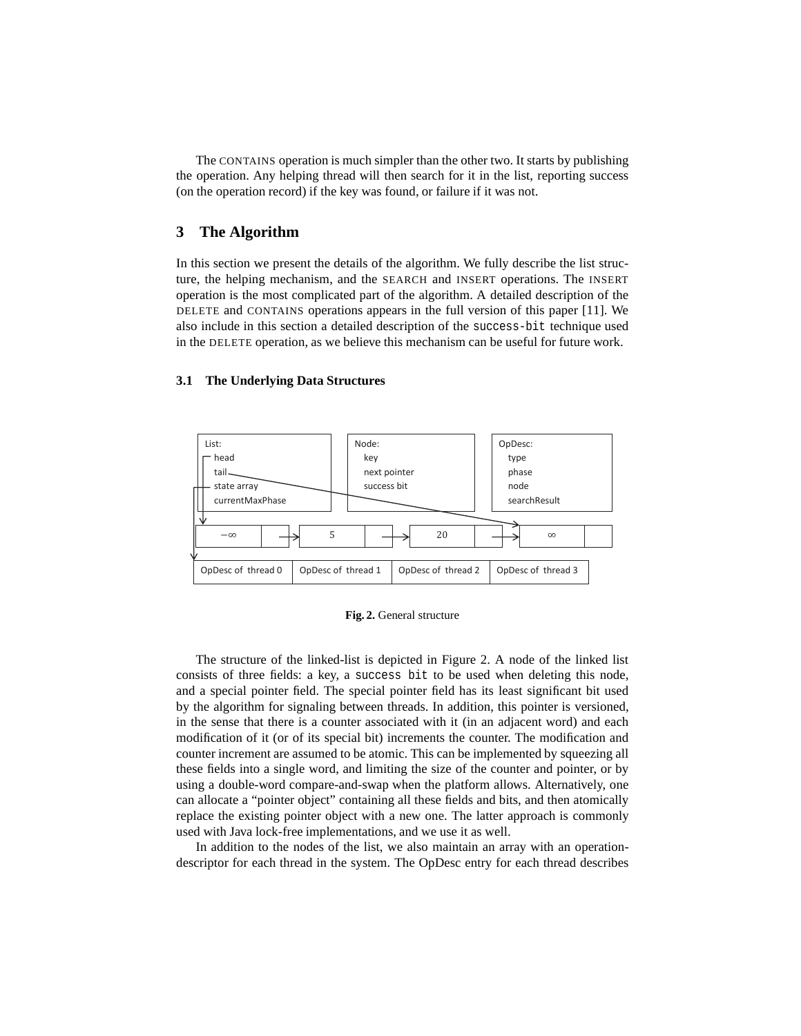The CONTAINS operation is much simpler than the other two. It starts by publishing the operation. Any helping thread will then search for it in the list, reporting success (on the operation record) if the key was found, or failure if it was not.

# **3 The Algorithm**

In this section we present the details of the algorithm. We fully describe the list structure, the helping mechanism, and the SEARCH and INSERT operations. The INSERT operation is the most complicated part of the algorithm. A detailed description of the DELETE and CONTAINS operations appears in the full version of this paper [11]. We also include in this section a detailed description of the success-bit technique used in the DELETE operation, as we believe this mechanism can be useful for future work.

### **3.1 The Underlying Data Structures**



**Fig. 2.** General structure

The structure of the linked-list is depicted in Figure 2. A node of the linked list consists of three fields: a key, a success bit to be used when deleting this node, and a special pointer field. The special pointer field has its least significant bit used by the algorithm for signaling between threads. In addition, this pointer is versioned, in the sense that there is a counter associated with it (in an adjacent word) and each modification of it (or of its special bit) increments the counter. The modification and counter increment are assumed to be atomic. This can be implemented by squeezing all these fields into a single word, and limiting the size of the counter and pointer, or by using a double-word compare-and-swap when the platform allows. Alternatively, one can allocate a "pointer object" containing all these fields and bits, and then atomically replace the existing pointer object with a new one. The latter approach is commonly used with Java lock-free implementations, and we use it as well.

In addition to the nodes of the list, we also maintain an array with an operationdescriptor for each thread in the system. The OpDesc entry for each thread describes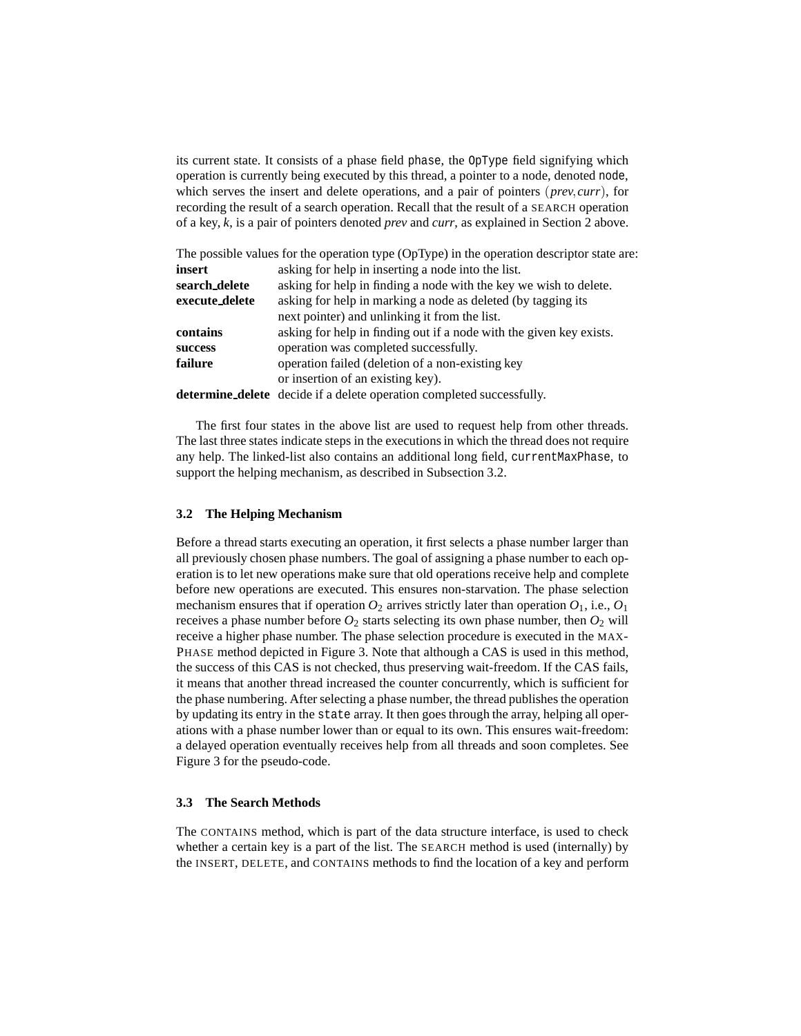its current state. It consists of a phase field phase, the OpType field signifying which operation is currently being executed by this thread, a pointer to a node, denoted node, which serves the insert and delete operations, and a pair of pointers (*prev*,*curr*), for recording the result of a search operation. Recall that the result of a SEARCH operation of a key, *k*, is a pair of pointers denoted *prev* and *curr*, as explained in Section 2 above.

| The possible values for the operation type (OpType) in the operation descriptor state are: |                                                                       |  |  |
|--------------------------------------------------------------------------------------------|-----------------------------------------------------------------------|--|--|
| insert                                                                                     | asking for help in inserting a node into the list.                    |  |  |
| search delete                                                                              | asking for help in finding a node with the key we wish to delete.     |  |  |
| asking for help in marking a node as deleted (by tagging its<br>execute delete             |                                                                       |  |  |
|                                                                                            | next pointer) and unlinking it from the list.                         |  |  |
| contains                                                                                   | asking for help in finding out if a node with the given key exists.   |  |  |
| success                                                                                    | operation was completed successfully.                                 |  |  |
| operation failed (deletion of a non-existing key<br>failure                                |                                                                       |  |  |
|                                                                                            | or insertion of an existing key).                                     |  |  |
|                                                                                            | determine delete decide if a delete operation completed successfully. |  |  |

The first four states in the above list are used to request help from other threads. The last three states indicate steps in the executions in which the thread does not require any help. The linked-list also contains an additional long field, currentMaxPhase, to support the helping mechanism, as described in Subsection 3.2.

#### **3.2 The Helping Mechanism**

Before a thread starts executing an operation, it first selects a phase number larger than all previously chosen phase numbers. The goal of assigning a phase number to each operation is to let new operations make sure that old operations receive help and complete before new operations are executed. This ensures non-starvation. The phase selection mechanism ensures that if operation  $O_2$  arrives strictly later than operation  $O_1$ , i.e.,  $O_1$ receives a phase number before  $O_2$  starts selecting its own phase number, then  $O_2$  will receive a higher phase number. The phase selection procedure is executed in the MAX-PHASE method depicted in Figure 3. Note that although a CAS is used in this method, the success of this CAS is not checked, thus preserving wait-freedom. If the CAS fails, it means that another thread increased the counter concurrently, which is sufficient for the phase numbering. After selecting a phase number, the thread publishes the operation by updating its entry in the state array. It then goes through the array, helping all operations with a phase number lower than or equal to its own. This ensures wait-freedom: a delayed operation eventually receives help from all threads and soon completes. See Figure 3 for the pseudo-code.

#### **3.3 The Search Methods**

The CONTAINS method, which is part of the data structure interface, is used to check whether a certain key is a part of the list. The SEARCH method is used (internally) by the INSERT, DELETE, and CONTAINS methods to find the location of a key and perform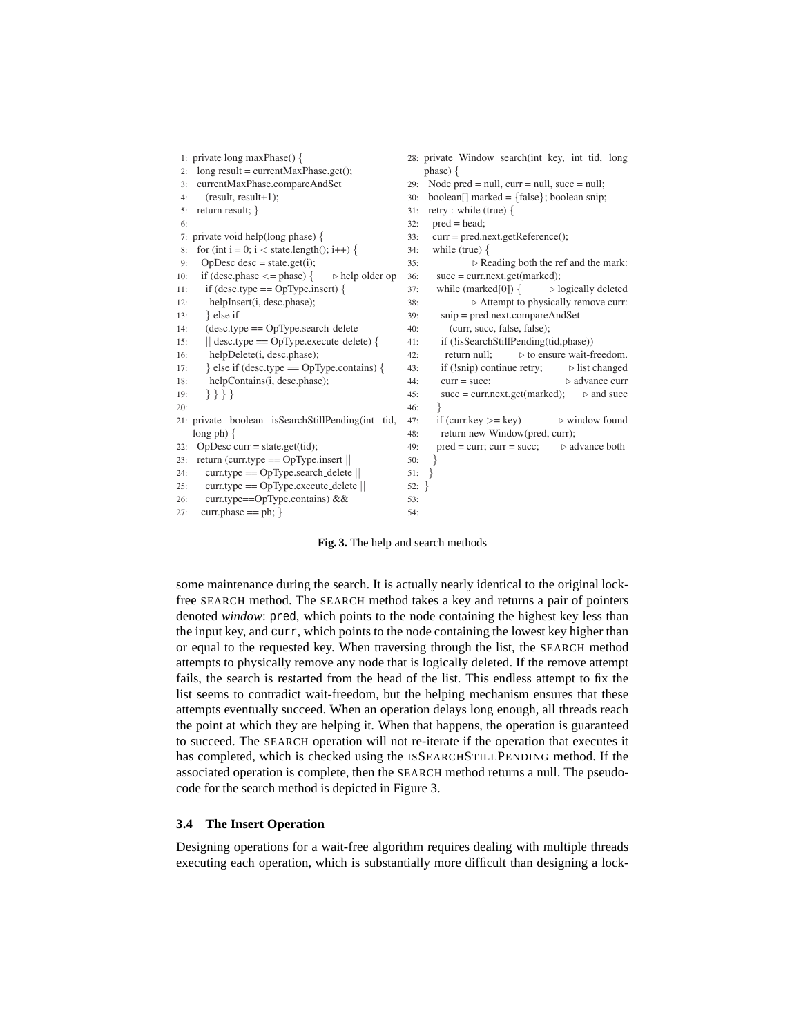|     | 1: private long maxPhase() {                                       |          | 28: private Window search (int key, int tid, long                |
|-----|--------------------------------------------------------------------|----------|------------------------------------------------------------------|
| 2:  | long result = $currentMaxPhase.get();$                             |          | phase) $\{$                                                      |
| 3:  | currentMaxPhase.compareAndSet                                      | 29:      | Node $pred = null$ , $curr = null$ , $succ = null$ ;             |
| 4:  | $(result, result+1);$                                              |          | boolean <sup>[]</sup> marked = {false}; boolean snip;            |
| 5:  | return result; $\}$                                                |          | retry : while (true) $\{$                                        |
| 6:  |                                                                    | 32:      | $pred = head;$                                                   |
|     | 7: private void help(long phase) {                                 |          | $curr = pred.next.getReference();$                               |
| 8:  | for (int i = 0; i < state.length(); i++) {                         | 34:      | while (true) $\{$                                                |
| 9:  | OpDesc desc = state.get(i);                                        | 35:      | $\triangleright$ Reading both the ref and the mark:              |
| 10: | if (desc.phase $\leq$ = phase) {<br>$\triangleright$ help older op | 36:      | $succ = curr.next.get(maxked);$                                  |
| 11: | if (desc.type = $OpType.insert$ ) {                                | 37:      | while (marked[0]) $\{$<br>$\triangleright$ logically deleted     |
| 12: | helpInsert(i, desc.phase);                                         | 38:      | $\triangleright$ Attempt to physically remove curr:              |
| 13: | $\}$ else if                                                       | 39:      | $snip = pred.next.compileAndSet$                                 |
| 14: | $desc.\text{type} == \text{OpType}.\text{search}\_\text{delete}$   | 40:      | (curr, succ, false, false);                                      |
| 15: | $\parallel$ desc.type == OpType.execute_delete) {                  | 41:      | if (!isSearchStillPending(tid,phase))                            |
| 16: | helpDelete(i, desc.phase);                                         | 42:      | return null:<br>$\triangleright$ to ensure wait-freedom.         |
| 17: | } else if (desc.type = $OpType. contains$ ) {                      | 43:      | if (!snip) continue retry; $\triangleright$ list changed         |
| 18: | helpContains(i, desc.phase);                                       | 44:      | $\triangleright$ advance curr<br>$curr = succ;$                  |
| 19: | $\{\}$ } } }                                                       | 45:      | $succ = curr.next.get(maxked);$<br>$\triangleright$ and succ     |
| 20: |                                                                    | 46:      | ł                                                                |
|     | 21: private boolean is Search Still Pending (int tid.              | 47:      | if (curr.key $>=$ key)<br>$\triangleright$ window found          |
|     | long ph $) \{$                                                     | 48:      | return new Window(pred, curr);                                   |
| 22: | OpDesc curr = state.get(tid);                                      | 49:      | $pred = curr$ ; $curr = succ$ ;<br>$\triangleright$ advance both |
| 23: | return (curr.type = $OpType.insert$ )                              | 50:      | $\left\{ \right\}$                                               |
| 24: | $curr_type == OpType.search_delete$                                | 51:      | - }                                                              |
| 25: | $curr_type == OpType.execute_delete   $                            | $52: \}$ |                                                                  |
| 26: | curr.type==OpType.contains) & &                                    | 53:      |                                                                  |
| 27: | curr.phase $==$ ph; }                                              | 54:      |                                                                  |
|     |                                                                    |          |                                                                  |

**Fig. 3.** The help and search methods

some maintenance during the search. It is actually nearly identical to the original lockfree SEARCH method. The SEARCH method takes a key and returns a pair of pointers denoted *window*: pred, which points to the node containing the highest key less than the input key, and curr, which points to the node containing the lowest key higher than or equal to the requested key. When traversing through the list, the SEARCH method attempts to physically remove any node that is logically deleted. If the remove attempt fails, the search is restarted from the head of the list. This endless attempt to fix the list seems to contradict wait-freedom, but the helping mechanism ensures that these attempts eventually succeed. When an operation delays long enough, all threads reach the point at which they are helping it. When that happens, the operation is guaranteed to succeed. The SEARCH operation will not re-iterate if the operation that executes it has completed, which is checked using the ISSEARCHSTILLPENDING method. If the associated operation is complete, then the SEARCH method returns a null. The pseudocode for the search method is depicted in Figure 3.

#### **3.4 The Insert Operation**

Designing operations for a wait-free algorithm requires dealing with multiple threads executing each operation, which is substantially more difficult than designing a lock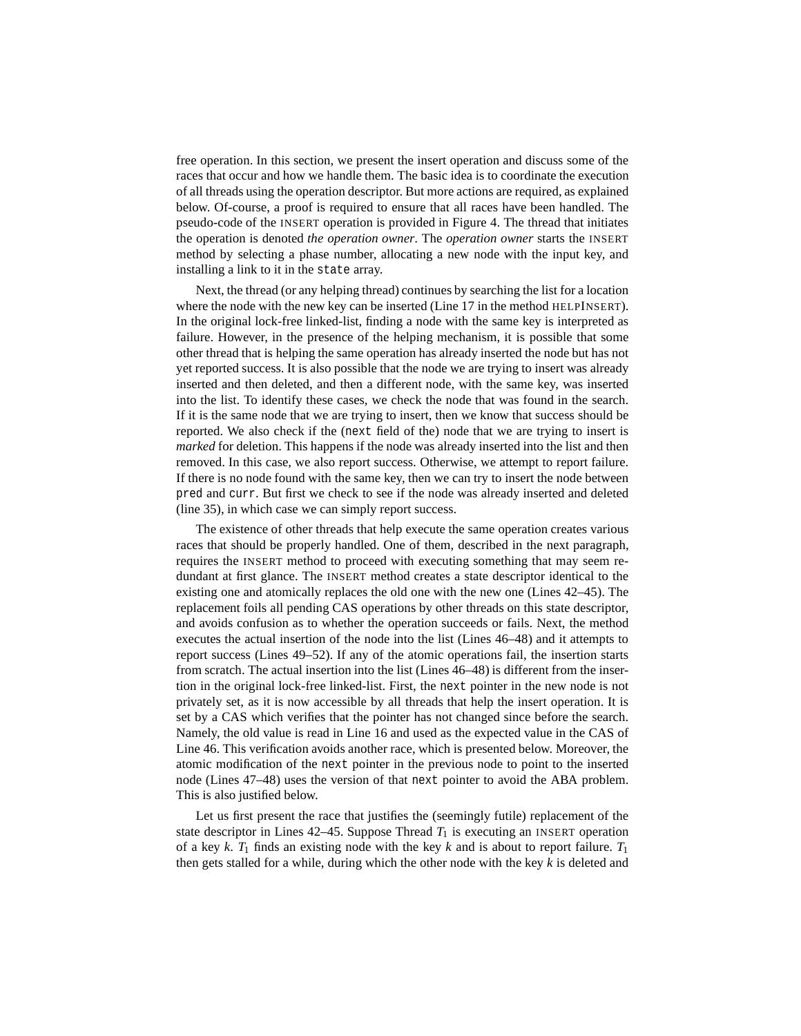free operation. In this section, we present the insert operation and discuss some of the races that occur and how we handle them. The basic idea is to coordinate the execution of all threads using the operation descriptor. But more actions are required, as explained below. Of-course, a proof is required to ensure that all races have been handled. The pseudo-code of the INSERT operation is provided in Figure 4. The thread that initiates the operation is denoted *the operation owner*. The *operation owner* starts the INSERT method by selecting a phase number, allocating a new node with the input key, and installing a link to it in the state array.

Next, the thread (or any helping thread) continues by searching the list for a location where the node with the new key can be inserted (Line 17 in the method HELPINSERT). In the original lock-free linked-list, finding a node with the same key is interpreted as failure. However, in the presence of the helping mechanism, it is possible that some other thread that is helping the same operation has already inserted the node but has not yet reported success. It is also possible that the node we are trying to insert was already inserted and then deleted, and then a different node, with the same key, was inserted into the list. To identify these cases, we check the node that was found in the search. If it is the same node that we are trying to insert, then we know that success should be reported. We also check if the (next field of the) node that we are trying to insert is *marked* for deletion. This happens if the node was already inserted into the list and then removed. In this case, we also report success. Otherwise, we attempt to report failure. If there is no node found with the same key, then we can try to insert the node between pred and curr. But first we check to see if the node was already inserted and deleted (line 35), in which case we can simply report success.

The existence of other threads that help execute the same operation creates various races that should be properly handled. One of them, described in the next paragraph, requires the INSERT method to proceed with executing something that may seem redundant at first glance. The INSERT method creates a state descriptor identical to the existing one and atomically replaces the old one with the new one (Lines 42–45). The replacement foils all pending CAS operations by other threads on this state descriptor, and avoids confusion as to whether the operation succeeds or fails. Next, the method executes the actual insertion of the node into the list (Lines 46–48) and it attempts to report success (Lines 49–52). If any of the atomic operations fail, the insertion starts from scratch. The actual insertion into the list (Lines 46–48) is different from the insertion in the original lock-free linked-list. First, the next pointer in the new node is not privately set, as it is now accessible by all threads that help the insert operation. It is set by a CAS which verifies that the pointer has not changed since before the search. Namely, the old value is read in Line 16 and used as the expected value in the CAS of Line 46. This verification avoids another race, which is presented below. Moreover, the atomic modification of the next pointer in the previous node to point to the inserted node (Lines 47–48) uses the version of that next pointer to avoid the ABA problem. This is also justified below.

Let us first present the race that justifies the (seemingly futile) replacement of the state descriptor in Lines  $42-45$ . Suppose Thread  $T_1$  is executing an INSERT operation of a key  $k$ .  $T_1$  finds an existing node with the key  $k$  and is about to report failure.  $T_1$ then gets stalled for a while, during which the other node with the key *k* is deleted and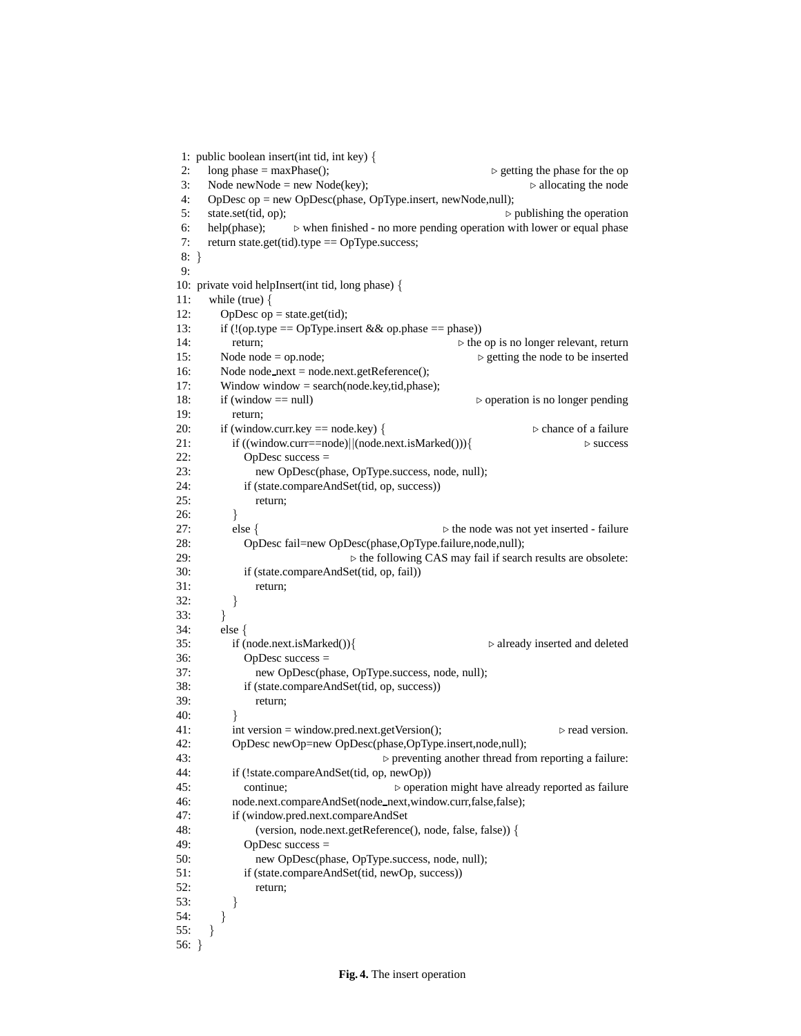1: public boolean insert(int tid, int key) { 2: long phase = maxPhase();  $\triangleright$  getting the phase for the op 3: Node newNode = new Node(key);  $\triangleright$  allocating the node 4: OpDesc op = new OpDesc(phase, OpType.insert, newNode,null); 5: state.set(tid, op); ⊳ publishing the operation 6: help(phase);  $\triangleright$  when finished - no more pending operation with lower or equal phase 7: return state.get(tid).type == OpType.success; 8: } 9: 10: private void helpInsert(int tid, long phase) { 11: while (true) { 12: OpDesc op = state.get(tid); 13: if (!(op.type == OpType.insert && op.phase == phase)) 14: return; return; ⊳ the op is no longer relevant, return 15: Node node = op.node; ⇒ getting the node to be inserted 16: Node node\_next = node.next.getReference(); 17: Window window = search(node.key,tid,phase); 18: if (window == null) ⊳ operation is no longer pending 19: return; 20: if (window.curr.key == node.key) {  $\triangleright$  chance of a failure 21: if ((window.curr==node)||(node.next.isMarked())){ ⊳ success 22: OpDesc success = 23: new OpDesc(phase, OpType.success, node, null); 24: if (state.compareAndSet(tid, op, success)) 25: return; 26: } 27: else { $\triangleright$  the node was not yet inserted - failure 28: OpDesc fail=new OpDesc(phase,OpType.failure,node,null); 29: ⊳ the following CAS may fail if search results are obsolete: 30: if (state.compareAndSet(tid, op, fail)) 31: return;  $32:$  } 33: } 34: else { 35: if (node.next.isMarked()){ ⊳ already inserted and deleted 36: OpDesc success = 37: new OpDesc(phase, OpType.success, node, null); 38: if (state.compareAndSet(tid, op, success)) 39: return;  $40:$ 41: int version = window.pred.next.getVersion();  $\triangleright$  read version.<br>42: OpDesc new OpDesc(phase.OpType.insert.node.null): OpDesc newOp=new OpDesc(phase,OpType.insert,node,null); 43: ⊲ preventing another thread from reporting a failure: 44: if (!state.compareAndSet(tid, op, newOp)) 45: continue; ⊲ operation might have already reported as failure 46: node.next.compareAndSet(node next,window.curr,false,false); 47: if (window.pred.next.compareAndSet 48: (version, node.next.getReference(), node, false, false)) { 49: OpDesc success = 50: new OpDesc(phase, OpType.success, node, null); 51: if (state.compareAndSet(tid, newOp, success)) 52: return; 53: } 54: } 55: } 56: }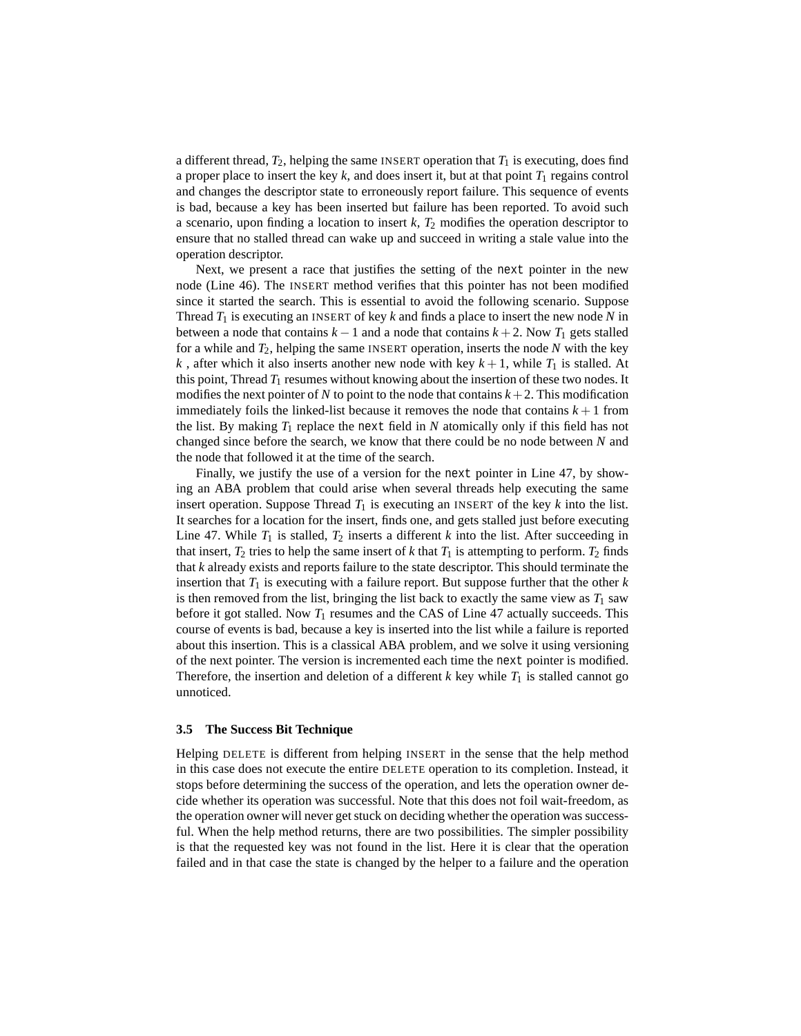a different thread,  $T_2$ , helping the same INSERT operation that  $T_1$  is executing, does find a proper place to insert the key  $k$ , and does insert it, but at that point  $T_1$  regains control and changes the descriptor state to erroneously report failure. This sequence of events is bad, because a key has been inserted but failure has been reported. To avoid such a scenario, upon finding a location to insert  $k$ ,  $T_2$  modifies the operation descriptor to ensure that no stalled thread can wake up and succeed in writing a stale value into the operation descriptor.

Next, we present a race that justifies the setting of the next pointer in the new node (Line 46). The INSERT method verifies that this pointer has not been modified since it started the search. This is essential to avoid the following scenario. Suppose Thread  $T_1$  is executing an INSERT of key  $k$  and finds a place to insert the new node  $N$  in between a node that contains  $k - 1$  and a node that contains  $k + 2$ . Now  $T_1$  gets stalled for a while and *T*2, helping the same INSERT operation, inserts the node *N* with the key *k*, after which it also inserts another new node with key  $k + 1$ , while  $T_1$  is stalled. At this point, Thread  $T_1$  resumes without knowing about the insertion of these two nodes. It modifies the next pointer of *N* to point to the node that contains  $k + 2$ . This modification immediately foils the linked-list because it removes the node that contains  $k+1$  from the list. By making  $T_1$  replace the next field in  $N$  atomically only if this field has not changed since before the search, we know that there could be no node between *N* and the node that followed it at the time of the search.

Finally, we justify the use of a version for the next pointer in Line 47, by showing an ABA problem that could arise when several threads help executing the same insert operation. Suppose Thread  $T_1$  is executing an INSERT of the key  $k$  into the list. It searches for a location for the insert, finds one, and gets stalled just before executing Line 47. While  $T_1$  is stalled,  $T_2$  inserts a different  $k$  into the list. After succeeding in that insert,  $T_2$  tries to help the same insert of *k* that  $T_1$  is attempting to perform.  $T_2$  finds that *k* already exists and reports failure to the state descriptor. This should terminate the insertion that  $T_1$  is executing with a failure report. But suppose further that the other  $k$ is then removed from the list, bringing the list back to exactly the same view as  $T_1$  saw before it got stalled. Now  $T_1$  resumes and the CAS of Line 47 actually succeeds. This course of events is bad, because a key is inserted into the list while a failure is reported about this insertion. This is a classical ABA problem, and we solve it using versioning of the next pointer. The version is incremented each time the next pointer is modified. Therefore, the insertion and deletion of a different  $k$  key while  $T_1$  is stalled cannot go unnoticed.

#### **3.5 The Success Bit Technique**

Helping DELETE is different from helping INSERT in the sense that the help method in this case does not execute the entire DELETE operation to its completion. Instead, it stops before determining the success of the operation, and lets the operation owner decide whether its operation was successful. Note that this does not foil wait-freedom, as the operation owner will never get stuck on deciding whether the operation was successful. When the help method returns, there are two possibilities. The simpler possibility is that the requested key was not found in the list. Here it is clear that the operation failed and in that case the state is changed by the helper to a failure and the operation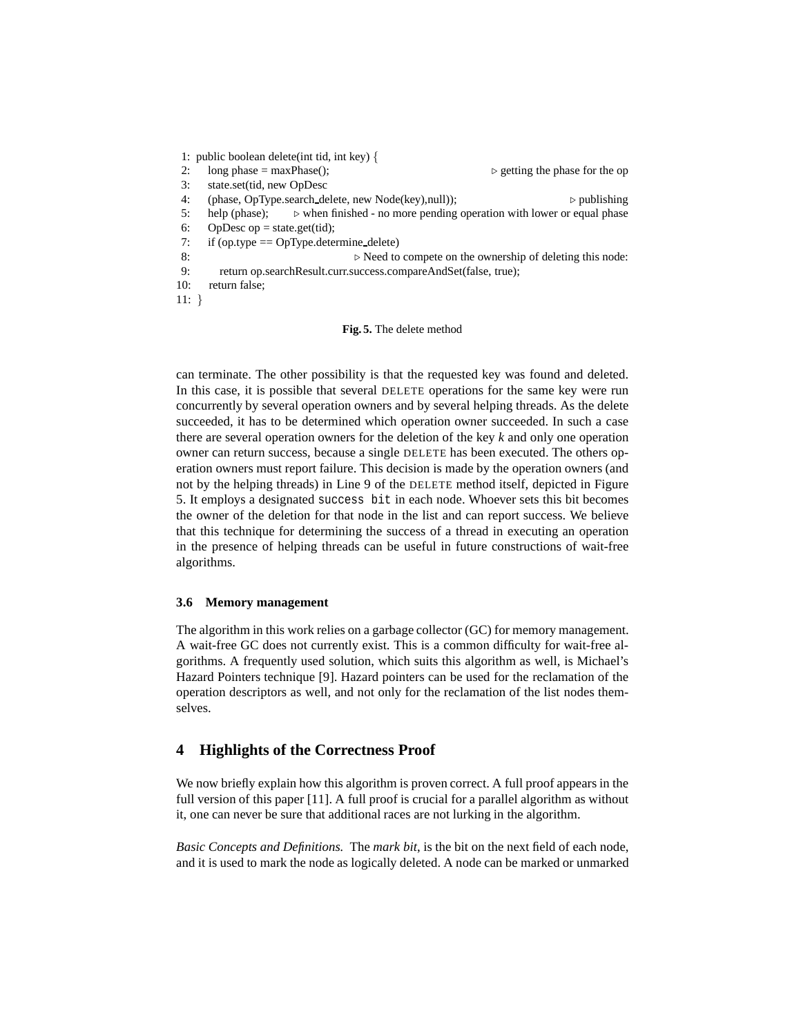| $long phase = maxPhase$ ):                                                                         | $\triangleright$ getting the phase for the op                            |
|----------------------------------------------------------------------------------------------------|--------------------------------------------------------------------------|
| state.set(tid, new OpDesc                                                                          |                                                                          |
| (phase, OpType.search_delete, new Node(key), null));                                               | $\triangleright$ publishing                                              |
| help (phase); $\triangleright$ when finished - no more pending operation with lower or equal phase |                                                                          |
| OpDesc op = state.get(tid);                                                                        |                                                                          |
| if $(op.type == OpType.determine_delete)$                                                          |                                                                          |
|                                                                                                    | $\triangleright$ Need to compete on the ownership of deleting this node: |
| return op.searchResult.curr.success.compareAndSet(false, true);                                    |                                                                          |
| return false;                                                                                      |                                                                          |
|                                                                                                    |                                                                          |
|                                                                                                    | 1: public boolean delete(int tid, int key) $\{$<br>$11: \}$              |

#### **Fig. 5.** The delete method

can terminate. The other possibility is that the requested key was found and deleted. In this case, it is possible that several DELETE operations for the same key were run concurrently by several operation owners and by several helping threads. As the delete succeeded, it has to be determined which operation owner succeeded. In such a case there are several operation owners for the deletion of the key *k* and only one operation owner can return success, because a single DELETE has been executed. The others operation owners must report failure. This decision is made by the operation owners (and not by the helping threads) in Line 9 of the DELETE method itself, depicted in Figure 5. It employs a designated success bit in each node. Whoever sets this bit becomes the owner of the deletion for that node in the list and can report success. We believe that this technique for determining the success of a thread in executing an operation in the presence of helping threads can be useful in future constructions of wait-free algorithms.

#### **3.6 Memory management**

The algorithm in this work relies on a garbage collector (GC) for memory management. A wait-free GC does not currently exist. This is a common difficulty for wait-free algorithms. A frequently used solution, which suits this algorithm as well, is Michael's Hazard Pointers technique [9]. Hazard pointers can be used for the reclamation of the operation descriptors as well, and not only for the reclamation of the list nodes themselves.

# **4 Highlights of the Correctness Proof**

We now briefly explain how this algorithm is proven correct. A full proof appears in the full version of this paper [11]. A full proof is crucial for a parallel algorithm as without it, one can never be sure that additional races are not lurking in the algorithm.

*Basic Concepts and Definitions.* The *mark bit*, is the bit on the next field of each node, and it is used to mark the node as logically deleted. A node can be marked or unmarked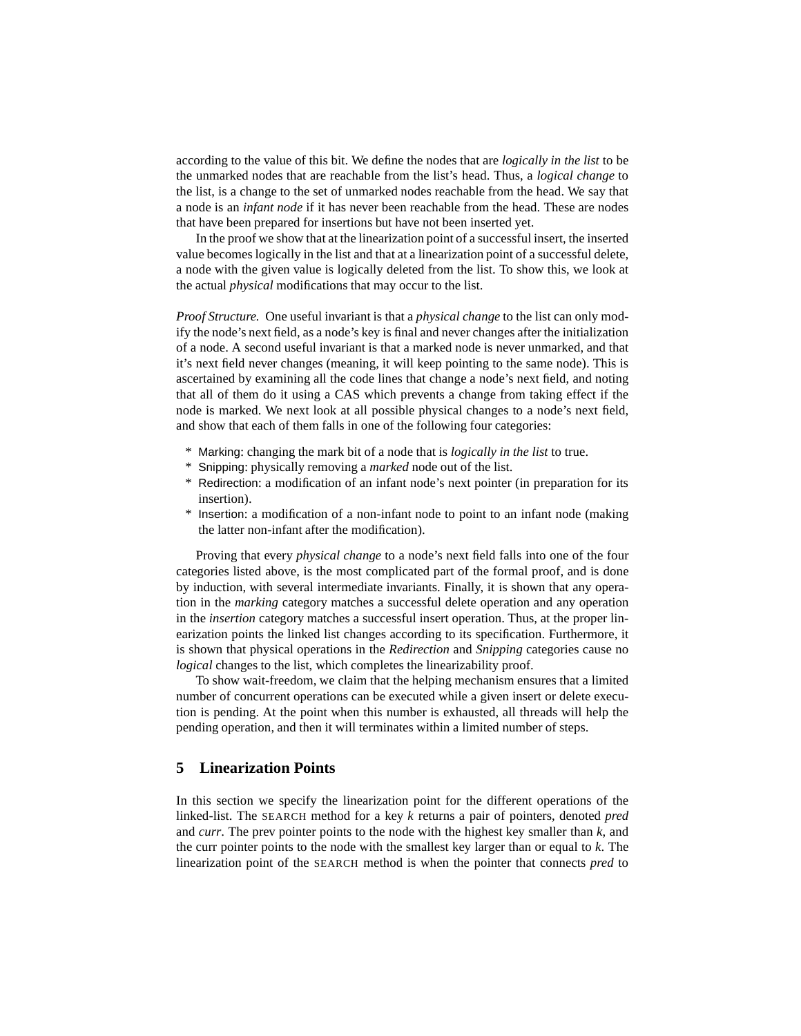according to the value of this bit. We define the nodes that are *logically in the list* to be the unmarked nodes that are reachable from the list's head. Thus, a *logical change* to the list, is a change to the set of unmarked nodes reachable from the head. We say that a node is an *infant node* if it has never been reachable from the head. These are nodes that have been prepared for insertions but have not been inserted yet.

In the proof we show that at the linearization point of a successful insert, the inserted value becomes logically in the list and that at a linearization point of a successful delete, a node with the given value is logically deleted from the list. To show this, we look at the actual *physical* modifications that may occur to the list.

*Proof Structure.* One useful invariant is that a *physical change* to the list can only modify the node's next field, as a node's key is final and never changes after the initialization of a node. A second useful invariant is that a marked node is never unmarked, and that it's next field never changes (meaning, it will keep pointing to the same node). This is ascertained by examining all the code lines that change a node's next field, and noting that all of them do it using a CAS which prevents a change from taking effect if the node is marked. We next look at all possible physical changes to a node's next field, and show that each of them falls in one of the following four categories:

- \* Marking: changing the mark bit of a node that is *logically in the list* to true.
- \* Snipping: physically removing a *marked* node out of the list.
- \* Redirection: a modification of an infant node's next pointer (in preparation for its insertion).
- \* Insertion: a modification of a non-infant node to point to an infant node (making the latter non-infant after the modification).

Proving that every *physical change* to a node's next field falls into one of the four categories listed above, is the most complicated part of the formal proof, and is done by induction, with several intermediate invariants. Finally, it is shown that any operation in the *marking* category matches a successful delete operation and any operation in the *insertion* category matches a successful insert operation. Thus, at the proper linearization points the linked list changes according to its specification. Furthermore, it is shown that physical operations in the *Redirection* and *Snipping* categories cause no *logical* changes to the list, which completes the linearizability proof.

To show wait-freedom, we claim that the helping mechanism ensures that a limited number of concurrent operations can be executed while a given insert or delete execution is pending. At the point when this number is exhausted, all threads will help the pending operation, and then it will terminates within a limited number of steps.

# **5 Linearization Points**

In this section we specify the linearization point for the different operations of the linked-list. The SEARCH method for a key *k* returns a pair of pointers, denoted *pred* and *curr*. The prev pointer points to the node with the highest key smaller than *k*, and the curr pointer points to the node with the smallest key larger than or equal to *k*. The linearization point of the SEARCH method is when the pointer that connects *pred* to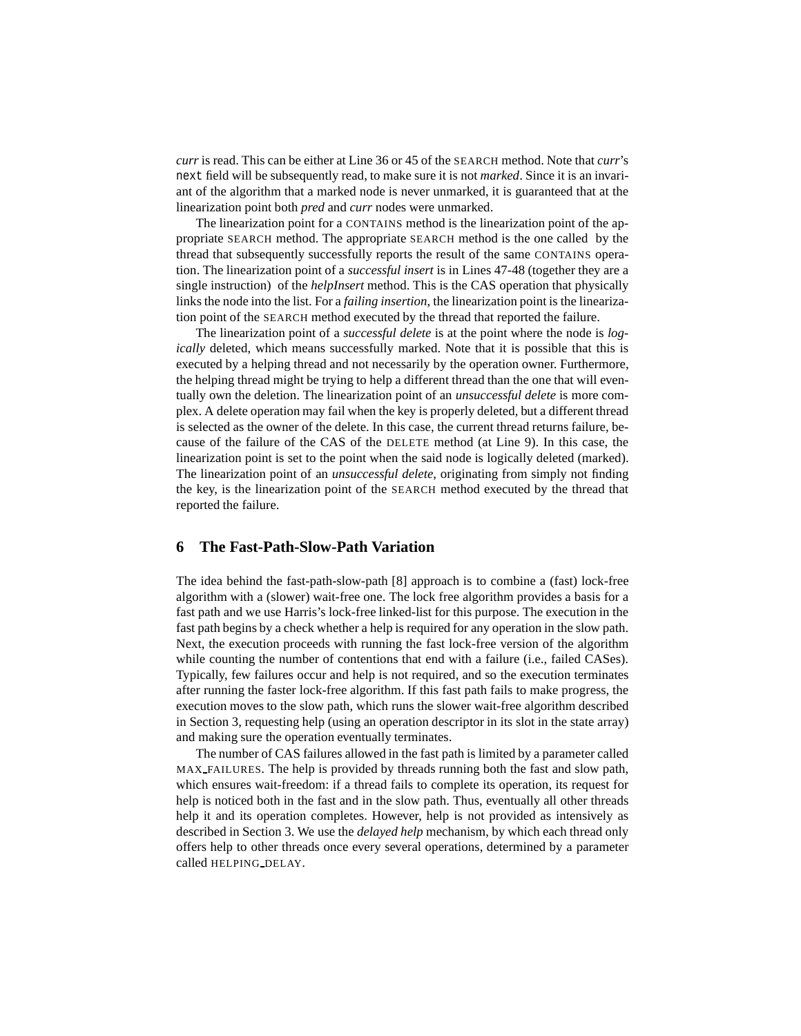*curr* is read. This can be either at Line 36 or 45 of the SEARCH method. Note that *curr*'s next field will be subsequently read, to make sure it is not *marked*. Since it is an invariant of the algorithm that a marked node is never unmarked, it is guaranteed that at the linearization point both *pred* and *curr* nodes were unmarked.

The linearization point for a CONTAINS method is the linearization point of the appropriate SEARCH method. The appropriate SEARCH method is the one called by the thread that subsequently successfully reports the result of the same CONTAINS operation. The linearization point of a *successful insert* is in Lines 47-48 (together they are a single instruction) of the *helpInsert* method. This is the CAS operation that physically links the node into the list. For a *failing insertion*, the linearization point is the linearization point of the SEARCH method executed by the thread that reported the failure.

The linearization point of a *successful delete* is at the point where the node is *logically* deleted, which means successfully marked. Note that it is possible that this is executed by a helping thread and not necessarily by the operation owner. Furthermore, the helping thread might be trying to help a different thread than the one that will eventually own the deletion. The linearization point of an *unsuccessful delete* is more complex. A delete operation may fail when the key is properly deleted, but a different thread is selected as the owner of the delete. In this case, the current thread returns failure, because of the failure of the CAS of the DELETE method (at Line 9). In this case, the linearization point is set to the point when the said node is logically deleted (marked). The linearization point of an *unsuccessful delete*, originating from simply not finding the key, is the linearization point of the SEARCH method executed by the thread that reported the failure.

# **6 The Fast-Path-Slow-Path Variation**

The idea behind the fast-path-slow-path [8] approach is to combine a (fast) lock-free algorithm with a (slower) wait-free one. The lock free algorithm provides a basis for a fast path and we use Harris's lock-free linked-list for this purpose. The execution in the fast path begins by a check whether a help is required for any operation in the slow path. Next, the execution proceeds with running the fast lock-free version of the algorithm while counting the number of contentions that end with a failure *(i.e., failed CASes)*. Typically, few failures occur and help is not required, and so the execution terminates after running the faster lock-free algorithm. If this fast path fails to make progress, the execution moves to the slow path, which runs the slower wait-free algorithm described in Section 3, requesting help (using an operation descriptor in its slot in the state array) and making sure the operation eventually terminates.

The number of CAS failures allowed in the fast path is limited by a parameter called MAX FAILURES. The help is provided by threads running both the fast and slow path, which ensures wait-freedom: if a thread fails to complete its operation, its request for help is noticed both in the fast and in the slow path. Thus, eventually all other threads help it and its operation completes. However, help is not provided as intensively as described in Section 3. We use the *delayed help* mechanism, by which each thread only offers help to other threads once every several operations, determined by a parameter called HELPING\_DELAY.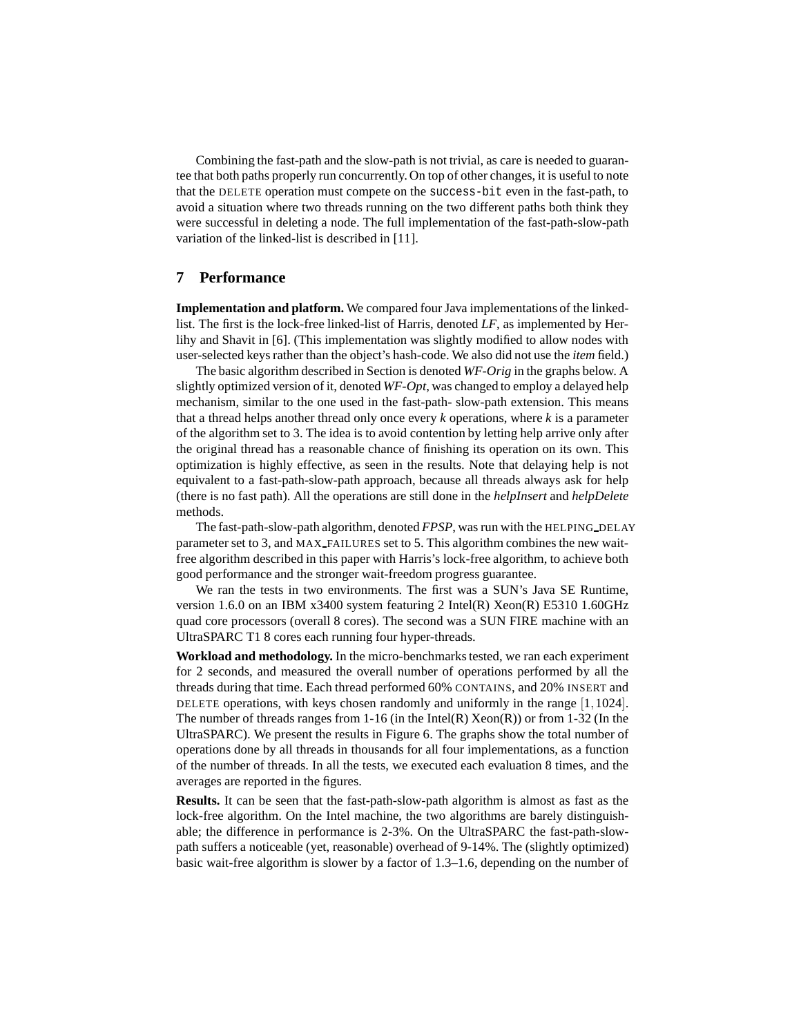Combining the fast-path and the slow-path is not trivial, as care is needed to guarantee that both paths properly run concurrently. On top of other changes, it is useful to note that the DELETE operation must compete on the success-bit even in the fast-path, to avoid a situation where two threads running on the two different paths both think they were successful in deleting a node. The full implementation of the fast-path-slow-path variation of the linked-list is described in [11].

# **7 Performance**

**Implementation and platform.** We compared four Java implementations of the linkedlist. The first is the lock-free linked-list of Harris, denoted *LF*, as implemented by Herlihy and Shavit in [6]. (This implementation was slightly modified to allow nodes with user-selected keys rather than the object's hash-code. We also did not use the *item* field.)

The basic algorithm described in Section is denoted *WF-Orig* in the graphs below. A slightly optimized version of it, denoted *WF-Opt*, was changed to employ a delayed help mechanism, similar to the one used in the fast-path- slow-path extension. This means that a thread helps another thread only once every *k* operations, where *k* is a parameter of the algorithm set to 3. The idea is to avoid contention by letting help arrive only after the original thread has a reasonable chance of finishing its operation on its own. This optimization is highly effective, as seen in the results. Note that delaying help is not equivalent to a fast-path-slow-path approach, because all threads always ask for help (there is no fast path). All the operations are still done in the *helpInsert* and *helpDelete* methods.

The fast-path-slow-path algorithm, denoted *FPSP*, was run with the HELPING DELAY parameter set to 3, and MAX FAILURES set to 5. This algorithm combines the new waitfree algorithm described in this paper with Harris's lock-free algorithm, to achieve both good performance and the stronger wait-freedom progress guarantee.

We ran the tests in two environments. The first was a SUN's Java SE Runtime, version 1.6.0 on an IBM x3400 system featuring 2 Intel(R) Xeon(R) E5310 1.60GHz quad core processors (overall 8 cores). The second was a SUN FIRE machine with an UltraSPARC T1 8 cores each running four hyper-threads.

**Workload and methodology.** In the micro-benchmarks tested, we ran each experiment for 2 seconds, and measured the overall number of operations performed by all the threads during that time. Each thread performed 60% CONTAINS, and 20% INSERT and DELETE operations, with keys chosen randomly and uniformly in the range [1,1024]. The number of threads ranges from  $1-16$  (in the Intel(R) Xeon(R)) or from  $1-32$  (In the UltraSPARC). We present the results in Figure 6. The graphs show the total number of operations done by all threads in thousands for all four implementations, as a function of the number of threads. In all the tests, we executed each evaluation 8 times, and the averages are reported in the figures.

**Results.** It can be seen that the fast-path-slow-path algorithm is almost as fast as the lock-free algorithm. On the Intel machine, the two algorithms are barely distinguishable; the difference in performance is 2-3%. On the UltraSPARC the fast-path-slowpath suffers a noticeable (yet, reasonable) overhead of 9-14%. The (slightly optimized) basic wait-free algorithm is slower by a factor of 1.3–1.6, depending on the number of